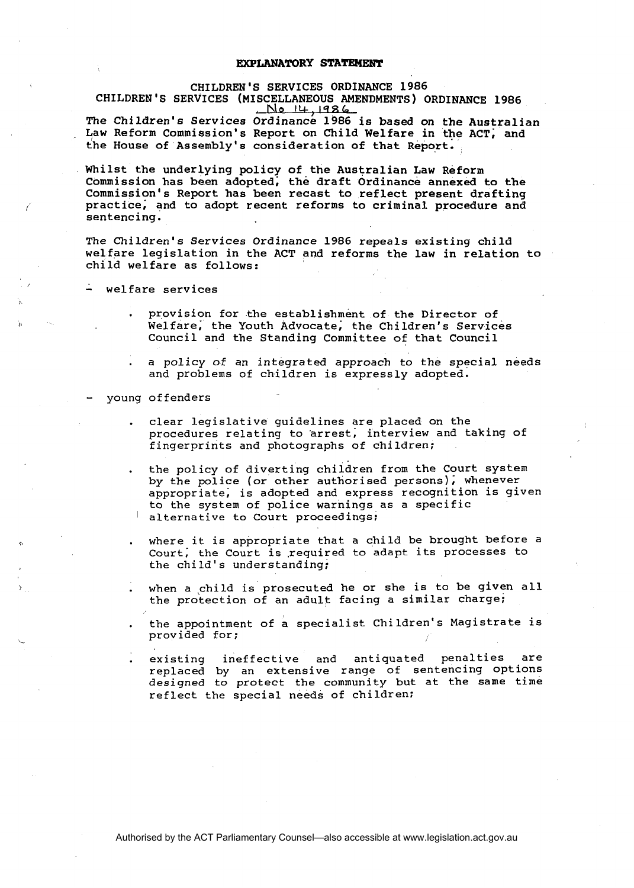## **EXPLANATORY STATEMENT**

## CHILDREN'S SERVICES ORDINANCE 1986 CHILDREN'S SERVICES (MISCELLANEOUS AMENDMENTS) ORDINANCE 1986 **No I&. 1986**

The Children's Services Ordinance 1986 is based on the Australian Law Reform Commission's Report on Child Welfare in the ACT; and the House of Assembly's consideration of that Report.

Whilst the underlying policy of the Australian Law Reform Commission has been adopted; the draft Ordinance annexed to the Commission's Report has been recast to reflect present drafting practice; and to adopt recent reforms to criminal procedure and sentencing.

The Children's Services Ordinance 1986 repeals existing child welfare legislation in the ACT and reforms the law in relation to child welfare as follows:

welfare services

- . provision for the establishment of the Director of Welfare, the Youth Advocate, the Children's Services Council and the Standing Committee of that Council
- . a policy of an integrated approach to the special needs and problems of children is expressly adopted.
- young offenders
	- . clear legislative guidelines are placed on the procedures relating to arrest, interview and taking of fingerprints and photographs of children;
	- . the policy of diverting children from the Court system by the police (or other authorised persons); whenever appropriate; is adopted and express recognition is given to the system of police warnings as a specific alternative to Court proceedings;
	- where it is appropriate that a child be brought before a Court, the Court is required to adapt its processes to the child's understanding;
	- when a child is prosecuted he or she is to be given all the protection of an adult facing a similar charge:
	- . the appointment of a specialist Children's Magistrate is<br>provided for;
	- . existing ineffective and antiquated penalties are replaced by an extensive range of sentencing options designed to protect the community but at the same time reflect the special needs of children: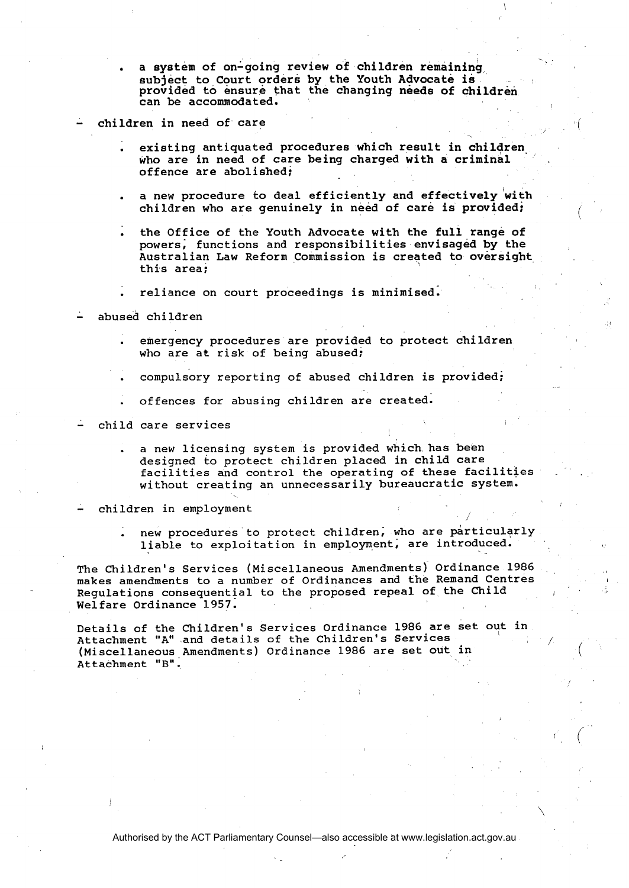a system of on-going review of children remaining subject to Court orders by the Youth Advocate is provided to ensure that the changing needs of children can be accommodated.

## children in need of care

- existing antiquated procedures which result in children who are in need of care being charged with a criminal offence are abolished:
- a new procedure to deal efficiently and effectively with children who are genuinely in need of care is provided;
- the Office of the Youth Advocate with the full range of powers; functions and responsibilities envisaged by the Australian Law Reform Commission is created to oversight this area;
- . reliance on court proceedings is minimised:
- abused children
	- . emergency procedures are provided to protect children who are at risk of being abused;
	- . compulsbry reporting of abused children is provided;
	- . offences for abusing children are created.

- child care services

. a new licensing system is provided which has been designed to protect children placed in child care facilities and control the operating of these facilities without creating an unnecessarily bureaucratic system.

children in employment

. new procedures to protect children; who are particularly liable to exploitation in employment, are introduced.

The Children's Services (Miscellaneous Amendments) Ordinance 1986 makes amendments to a number of Ordinances and the Remand Centres Regulations consequential to the proposed repeal of the Child Welfare Ordinance 1957.

Details of the Children's Services Ordinance 1986 are set out in Attachment "A" and details of the Children's Services (Miscellaneous Amendments) Ordinance 1986 are set out in Attachment "B".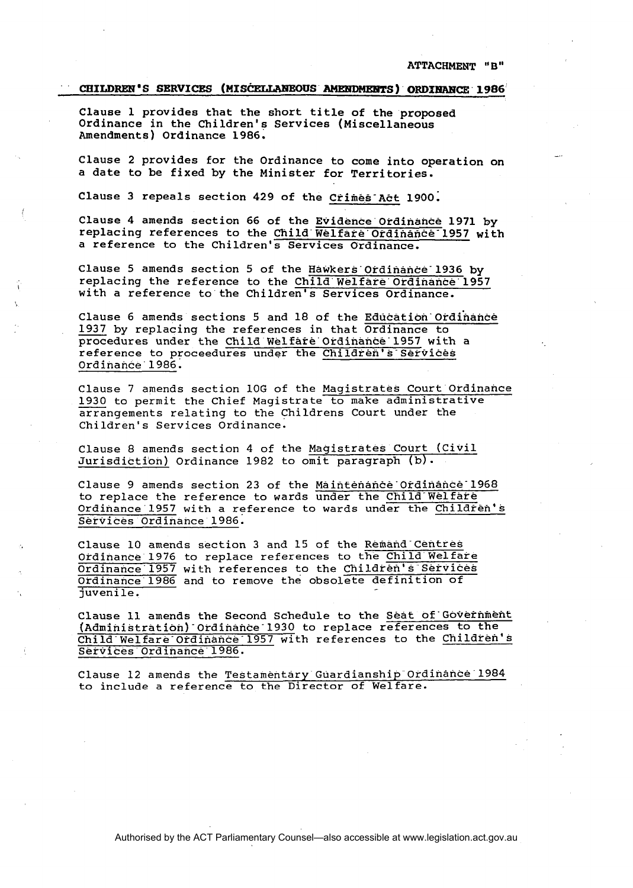## **CHILDREN'S SERVICES (MISCELLANEOUS AMENDMENTS) ORDINANCE 1986**

Clause 1 provides that the short title of the proposed Ordinance in the Children's Services (Miscellaneous Amendments) Ordinance 1986.

Clause 2 provides for the Ordinance to come into operation on a date to be fixed by the Minister for Territories.

Clause 3 repeals section 429 of the Crimes-Act 1900;

Clause 4 amends section 66 of the Evidence Ordinance 1971 by replacing references to the Child Welfare Ordinance 1957 with a reference to the Children's Services Ordinance.

Clause 5 amends section 5 of the Hawkers'ordinance-1936 by replacing the reference to the Child' Welfare' Ordinance' 1957 with a reference to'the Children's Services Ordinance.

Clause 6 amends sections 5 and 18 of the Education Ordinance 1937 by replacing the references in that Ordinance to procedures under the Child Welfare Ordinance 1957 with a reference to proceedures under the Children's Services Ordinance' 1986. 1937 by replacing the references in that Ordinance to<br>procedures under the Child Welfare Ordinance 1957 with a<br>reference to proceedures under the Children's Services<br>Ordinance 1986.<br>Clause 7 amends section 10G of the Magis

Clause 7 amends section 10G of the Magistrates Court Ordinance<br>1930 to permit the Chief Magistrate to make administrative Children's Services Ordinance.

Clause 8 amends section 4 of the Magistrates Court (civil Jurisdictibn) Ordinance 1982 to omit paragraph (b).

Clause 9 amends section 23 of the Maintenance-Ordinance-1968 to replace the reference to wards under the Child-Welfare Ordinance'l957 with a reference to wards under the Children's Services Ordinance 1986.

Clause 10 amends section 3 and 15 of the Remand Centres Ordinance 1976 to replace references to the Child Welfare Ordinance 1957 with references to the Children's Services Ordinance 1986 and to remove the obsolete definition of juvenile.

Clause 11 amends the Second Schedule to the Seat of'Governmenf **~~drninistration)~0rdinance~l930** to replace references to the **Child-Welfare-Ordinancee1957** with references to the Children's **Services'Ordinance'l986.** 

Clause **12** amends the Testamentary Guardianship Ordinance 1984 to include a reference to the Director of Welfare.